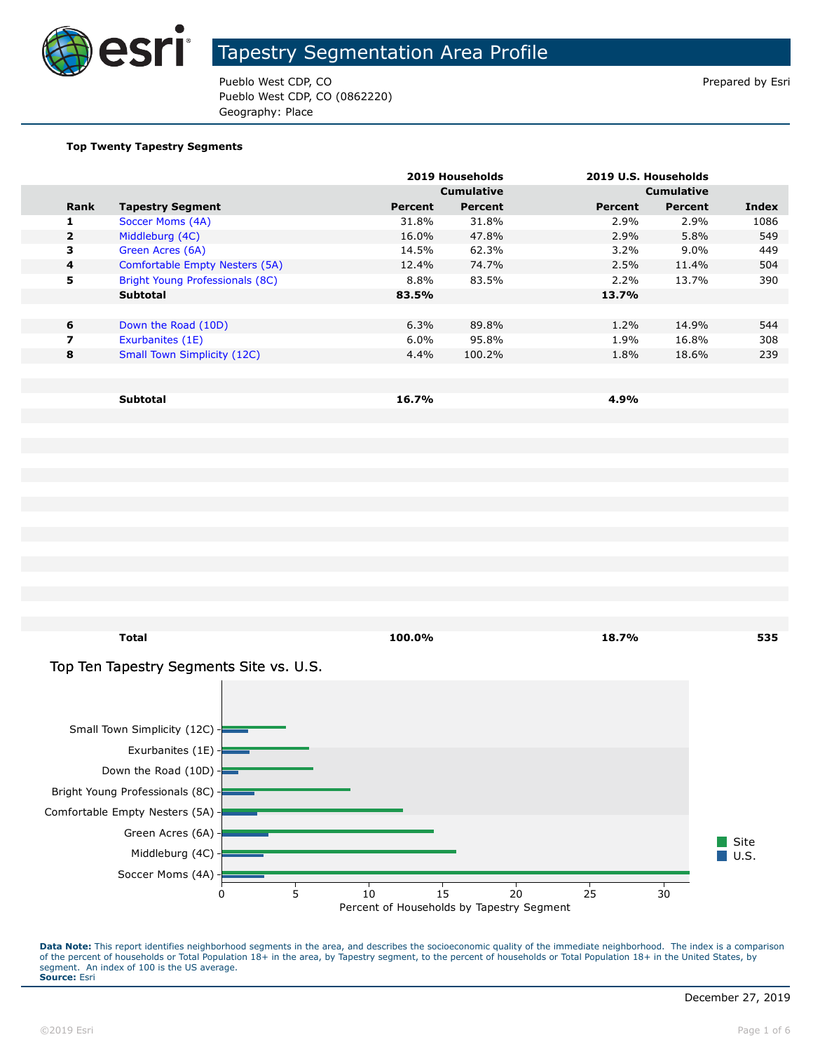

Pueblo West CDP, CO **Prepared by Estimate Prepared by Estimate Prepared by Estimate Prepared by Estimate Prepared by Estimate Prepared by Estimate Prepared by Estimate Prepared by Estimate Prepared by Estimate Prepared by** Pueblo West CDP, CO (0862220) Geography: Place

#### **Top Twenty Tapestry Segments**

|                |                                    |         | 2019 Households   |         | 2019 U.S. Households |       |
|----------------|------------------------------------|---------|-------------------|---------|----------------------|-------|
|                |                                    |         | <b>Cumulative</b> |         | <b>Cumulative</b>    |       |
| Rank           | <b>Tapestry Segment</b>            | Percent | Percent           | Percent | Percent              | Index |
| 1.             | Soccer Moms (4A)                   | 31.8%   | 31.8%             | 2.9%    | 2.9%                 | 1086  |
| $\overline{2}$ | Middleburg (4C)                    | 16.0%   | 47.8%             | 2.9%    | 5.8%                 | 549   |
| 3              | Green Acres (6A)                   | 14.5%   | 62.3%             | $3.2\%$ | $9.0\%$              | 449   |
| 4              | Comfortable Empty Nesters (5A)     | 12.4%   | 74.7%             | 2.5%    | 11.4%                | 504   |
| 5              | Bright Young Professionals (8C)    | 8.8%    | 83.5%             | 2.2%    | 13.7%                | 390   |
|                | <b>Subtotal</b>                    | 83.5%   |                   | 13.7%   |                      |       |
|                |                                    |         |                   |         |                      |       |
| 6              | Down the Road (10D)                | 6.3%    | 89.8%             | 1.2%    | 14.9%                | 544   |
| $\overline{ }$ | Exurbanites (1E)                   | 6.0%    | 95.8%             | 1.9%    | 16.8%                | 308   |
| 8              | <b>Small Town Simplicity (12C)</b> | 4.4%    | 100.2%            | 1.8%    | 18.6%                | 239   |
|                |                                    |         |                   |         |                      |       |
|                |                                    |         |                   |         |                      |       |
|                | <b>Subtotal</b>                    | 16.7%   |                   | 4.9%    |                      |       |

**Total 100.0% 18.7% 535**

#### Top Ten Tapestry Segments Site vs. U.S.

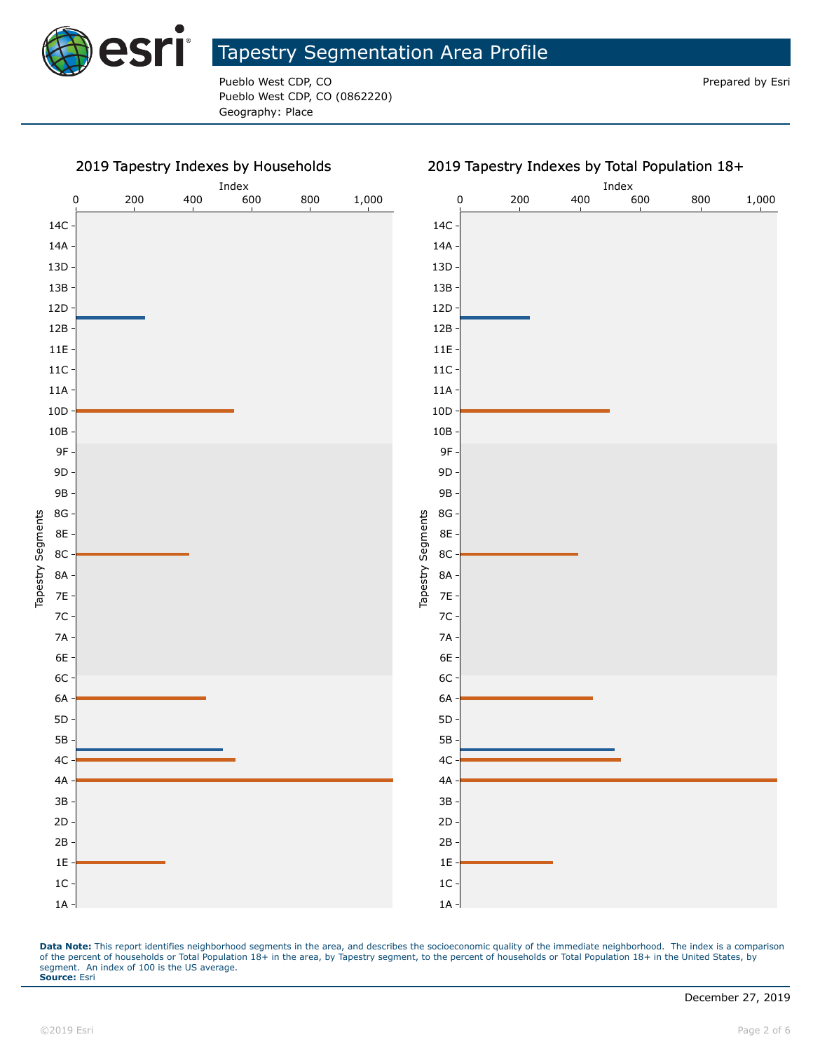

Pueblo West CDP, CO **Prepared by Estimate Act CDP**, CO **Prepared by Estimate Act CDP**, CO Pueblo West CDP, CO (0862220) Geography: Place

#### 2019 Tapestry Indexes by Households



Data Note: This report identifies neighborhood segments in the area, and describes the socioeconomic quality of the immediate neighborhood. The index is a comparison of the percent of households or Total Population 18+ in the area, by Tapestry segment, to the percent of households or Total Population 18+ in the United States, by segment. An index of 100 is the US average. **Source:** Esri

1A 1C 1E 2B 2D 3B 4A 4C 5B 5D 6A 6C 6E 7A 7C 7E 8A 8C 8E 8G 9B 9D 9F 10B 10D 11A 11C 11E 12B 12D 13B 13D 14A 14C

Tapestry Segments

Tapestry Segments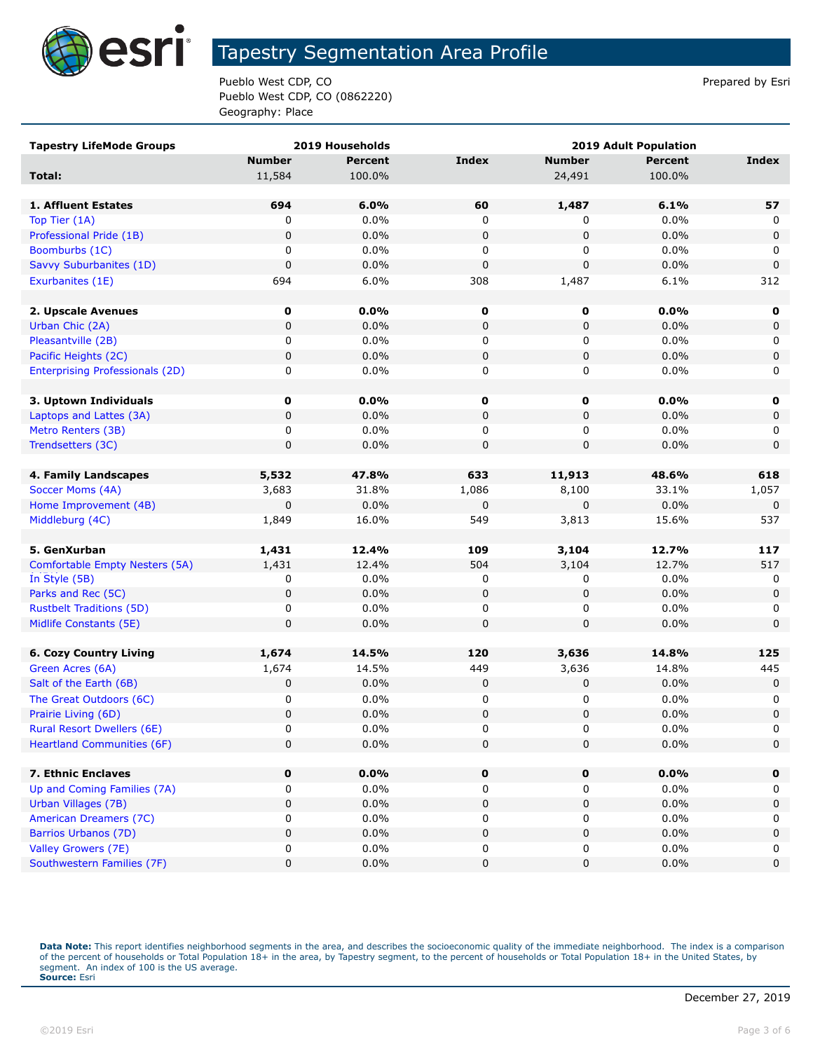

Pueblo West CDP, CO **Prepared by Estimate Prepared by Estimate Prepared by Estimate Prepared by Estimate Prepared by Estimate Prepared by Estimate Prepared by Estimate Prepared by Estimate Prepared by Estimate Prepared by** Pueblo West CDP, CO (0862220) Geography: Place

| <b>Tapestry LifeMode Groups</b>        |               | 2019 Households | <b>2019 Adult Population</b> |               |         |              |
|----------------------------------------|---------------|-----------------|------------------------------|---------------|---------|--------------|
|                                        | <b>Number</b> | <b>Percent</b>  | <b>Index</b>                 | <b>Number</b> | Percent | <b>Index</b> |
| Total:                                 | 11,584        | 100.0%          |                              | 24,491        | 100.0%  |              |
|                                        |               |                 |                              |               |         |              |
| 1. Affluent Estates                    | 694           | 6.0%            | 60                           | 1,487         | 6.1%    | 57           |
| Top Tier (1A)                          | 0             | 0.0%            | 0                            | 0             | 0.0%    | 0            |
| Professional Pride (1B)                | 0             | 0.0%            | $\pmb{0}$                    | 0             | 0.0%    | 0            |
| Boomburbs (1C)                         | 0             | 0.0%            | 0                            | 0             | $0.0\%$ | 0            |
| Savvy Suburbanites (1D)                | 0             | 0.0%            | $\pmb{0}$                    | 0             | 0.0%    | $\mathbf 0$  |
| Exurbanites (1E)                       | 694           | 6.0%            | 308                          | 1,487         | 6.1%    | 312          |
|                                        |               |                 |                              |               |         |              |
| 2. Upscale Avenues                     | 0             | 0.0%            | 0                            | 0             | 0.0%    | 0            |
| Urban Chic (2A)                        | 0             | 0.0%            | 0                            | 0             | 0.0%    | $\mathbf 0$  |
| Pleasantville (2B)                     | 0             | 0.0%            | 0                            | 0             | 0.0%    | 0            |
| Pacific Heights (2C)                   | 0             | 0.0%            | $\mathbf 0$                  | 0             | 0.0%    | $\mathbf 0$  |
| <b>Enterprising Professionals (2D)</b> | 0             | 0.0%            | 0                            | 0             | 0.0%    | 0            |
|                                        |               |                 |                              |               |         |              |
| 3. Uptown Individuals                  | 0             | 0.0%            | 0                            | 0             | 0.0%    | 0            |
| Laptops and Lattes (3A)                | 0             | 0.0%            | 0                            | 0             | 0.0%    | 0            |
| Metro Renters (3B)                     | 0             | 0.0%            | 0                            | 0             | 0.0%    | 0            |
| Trendsetters (3C)                      | 0             | 0.0%            | $\pmb{0}$                    | 0             | 0.0%    | $\mathbf 0$  |
|                                        |               |                 |                              |               |         |              |
| 4. Family Landscapes                   | 5,532         | 47.8%           | 633                          | 11,913        | 48.6%   | 618          |
| Soccer Moms (4A)                       | 3,683         | 31.8%           | 1,086                        | 8,100         | 33.1%   | 1,057        |
| Home Improvement (4B)                  | 0             | 0.0%            | $\pmb{0}$                    | 0             | 0.0%    | $\mathbf 0$  |
| Middleburg (4C)                        | 1,849         | 16.0%           | 549                          | 3,813         | 15.6%   | 537          |
|                                        |               |                 |                              |               |         |              |
| 5. GenXurban                           | 1,431         | 12.4%           | 109                          | 3,104         | 12.7%   | 117          |
| Comfortable Empty Nesters (5A)         | 1,431         | 12.4%           | 504                          | 3,104         | 12.7%   | 517          |
| In Style (5B)                          | 0             | 0.0%            | 0                            | 0             | 0.0%    | 0            |
| Parks and Rec (5C)                     | 0             | 0.0%            | $\pmb{0}$                    | 0             | 0.0%    | $\mathbf 0$  |
| <b>Rustbelt Traditions (5D)</b>        | 0             | 0.0%            | 0                            | 0             | 0.0%    | 0            |
| Midlife Constants (5E)                 | 0             | 0.0%            | $\mathbf 0$                  | 0             | 0.0%    | $\mathbf 0$  |
|                                        |               |                 |                              |               |         |              |
| <b>6. Cozy Country Living</b>          | 1,674         | 14.5%           | 120                          | 3,636         | 14.8%   | 125          |
| Green Acres (6A)                       | 1,674         | 14.5%           | 449                          | 3,636         | 14.8%   | 445          |
| Salt of the Earth (6B)                 | 0             | 0.0%            | 0                            | 0             | 0.0%    | 0            |
| The Great Outdoors (6C)                | 0             | 0.0%            | 0                            | 0             | 0.0%    | 0            |
| Prairie Living (6D)                    | 0             | 0.0%            | $\mathbf 0$                  | 0             | 0.0%    | 0            |
| <b>Rural Resort Dwellers (6E)</b>      | 0             | 0.0%            | $\Omega$                     | $\Omega$      | 0.0%    | $\Omega$     |
| <b>Heartland Communities (6F)</b>      | 0             | 0.0%            | $\pmb{0}$                    | 0             | 0.0%    | 0            |
|                                        |               |                 |                              |               |         |              |
| 7. Ethnic Enclaves                     | 0             | 0.0%            | 0                            | 0             | 0.0%    | 0            |
| Up and Coming Families (7A)            | 0             | 0.0%            | 0                            | 0             | $0.0\%$ | 0            |
| Urban Villages (7B)                    | 0             | 0.0%            | 0                            | 0             | 0.0%    | $\mathbf 0$  |
| American Dreamers (7C)                 | 0             | 0.0%            | 0                            | 0             | 0.0%    | 0            |
| Barrios Urbanos (7D)                   | 0             | 0.0%            | $\pmb{0}$                    | 0             | 0.0%    | $\mathbf 0$  |
| Valley Growers (7E)                    | 0             | 0.0%            | $\pmb{0}$                    | 0             | 0.0%    | 0            |
| Southwestern Families (7F)             | 0             | 0.0%            | $\pmb{0}$                    | 0             | 0.0%    | 0            |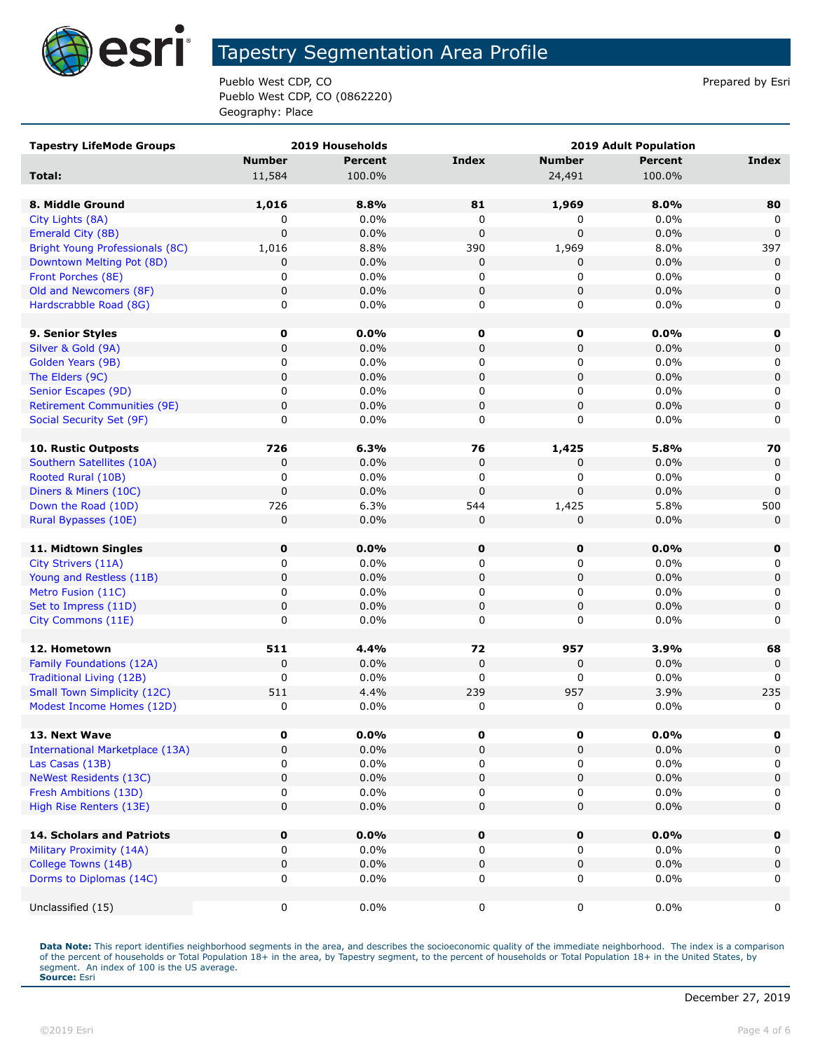

Pueblo West CDP, CO **Prepared by Estimate Prepared by Estimate Prepared by Estimate Prepared by Estimate Prepared by Estimate Prepared by Estimate Prepared by Estimate Prepared by Estimate Prepared by Estimate Prepared by** Pueblo West CDP, CO (0862220) Geography: Place

| <b>Tapestry LifeMode Groups</b>        |               | 2019 Households | <b>2019 Adult Population</b> |               |                |              |
|----------------------------------------|---------------|-----------------|------------------------------|---------------|----------------|--------------|
|                                        | <b>Number</b> | <b>Percent</b>  | Index                        | <b>Number</b> | <b>Percent</b> | <b>Index</b> |
| Total:                                 | 11,584        | 100.0%          |                              | 24,491        | 100.0%         |              |
|                                        |               |                 |                              |               |                |              |
| 8. Middle Ground                       | 1,016         | 8.8%            | 81                           | 1,969         | 8.0%           | 80           |
| City Lights (8A)                       | 0             | 0.0%            | $\mathbf 0$                  | 0             | 0.0%           | 0            |
| Emerald City (8B)                      | 0             | 0.0%            | $\mathbf 0$                  | $\mathbf 0$   | 0.0%           | $\mathbf 0$  |
| Bright Young Professionals (8C)        | 1,016         | 8.8%            | 390                          | 1,969         | 8.0%           | 397          |
| Downtown Melting Pot (8D)              | 0             | 0.0%            | 0                            | 0             | 0.0%           | $\mathbf 0$  |
| Front Porches (8E)                     | 0             | 0.0%            | 0                            | 0             | 0.0%           | 0            |
| Old and Newcomers (8F)                 | 0             | 0.0%            | $\mathbf 0$                  | 0             | 0.0%           | $\mathbf 0$  |
| Hardscrabble Road (8G)                 | 0             | 0.0%            | 0                            | 0             | 0.0%           | 0            |
|                                        |               |                 |                              |               |                |              |
| 9. Senior Styles                       | 0             | $0.0\%$         | 0                            | 0             | 0.0%           | $\mathbf 0$  |
| Silver & Gold (9A)                     | 0             | 0.0%            | $\mathbf 0$                  | 0             | 0.0%           | $\mathbf 0$  |
| Golden Years (9B)                      | 0             | 0.0%            | 0                            | 0             | 0.0%           | 0            |
| The Elders (9C)                        | 0             | 0.0%            | $\mathbf 0$                  | 0             | 0.0%           | $\mathbf 0$  |
| Senior Escapes (9D)                    | 0             | 0.0%            | 0                            | 0             | $0.0\%$        | 0            |
| <b>Retirement Communities (9E)</b>     | 0             | 0.0%            | $\mathbf 0$                  | 0             | 0.0%           | $\mathbf 0$  |
| Social Security Set (9F)               | 0             | $0.0\%$         | 0                            | 0             | 0.0%           | 0            |
|                                        |               |                 |                              |               |                |              |
| <b>10. Rustic Outposts</b>             | 726           | 6.3%            | 76                           | 1,425         | 5.8%           | 70           |
| Southern Satellites (10A)              | 0             | 0.0%            | 0                            | 0             | 0.0%           | $\mathbf 0$  |
| Rooted Rural (10B)                     | 0             | 0.0%            | 0                            | 0             | 0.0%           | 0            |
| Diners & Miners (10C)                  | 0             | 0.0%            | 0                            | $\Omega$      | 0.0%           | $\mathbf{0}$ |
| Down the Road (10D)                    | 726           | 6.3%            | 544                          | 1,425         | 5.8%           | 500          |
| Rural Bypasses (10E)                   | 0             | 0.0%            | 0                            | $\mathbf 0$   | 0.0%           | $\mathbf{0}$ |
| 11. Midtown Singles                    | $\mathbf 0$   | 0.0%            | 0                            | $\mathbf 0$   | 0.0%           | 0            |
| City Strivers (11A)                    | 0             | $0.0\%$         | 0                            | 0             | 0.0%           | 0            |
| Young and Restless (11B)               | $\mathbf 0$   | 0.0%            | $\mathbf 0$                  | 0             | 0.0%           | $\mathbf 0$  |
| Metro Fusion (11C)                     | 0             | 0.0%            | 0                            | 0             | 0.0%           | 0            |
| Set to Impress (11D)                   | 0             | 0.0%            | 0                            | 0             | 0.0%           | $\mathbf 0$  |
| City Commons (11E)                     | 0             | 0.0%            | 0                            | 0             | 0.0%           | 0            |
|                                        |               |                 |                              |               |                |              |
| 12. Hometown                           | 511           | 4.4%            | 72                           | 957           | 3.9%           | 68           |
| Family Foundations (12A)               | 0             | 0.0%            | $\mathbf 0$                  | $\mathbf 0$   | 0.0%           | $\mathbf 0$  |
| Traditional Living (12B)               | 0             | 0.0%            | 0                            | 0             | 0.0%           | 0            |
| <b>Small Town Simplicity (12C)</b>     | 511           | 4.4%            | 239                          | 957           | 3.9%           | 235          |
| Modest Income Homes (12D)              | 0             | 0.0%            | 0                            | 0             | 0.0%           | 0            |
|                                        |               |                 |                              |               |                |              |
| 13. Next Wave                          | 0             | $0.0\%$         | $\pmb{0}$                    | 0             | $0.0\%$        | 0            |
| <b>International Marketplace (13A)</b> | 0             | 0.0%            | $\mathbf 0$                  | 0             | 0.0%           | 0            |
| Las Casas (13B)                        | 0             | $0.0\%$         | 0                            | 0             | 0.0%           | 0            |
| <b>NeWest Residents (13C)</b>          | 0             | 0.0%            | 0                            | 0             | 0.0%           | 0            |
| Fresh Ambitions (13D)                  | 0             | 0.0%            | 0                            | 0             | 0.0%           | 0            |
| High Rise Renters (13E)                | 0             | 0.0%            | 0                            | 0             | 0.0%           | $\mathbf 0$  |
|                                        |               |                 |                              |               |                |              |
| 14. Scholars and Patriots              | 0             | 0.0%            | $\mathbf 0$                  | 0             | 0.0%           | $\mathbf 0$  |
| Military Proximity (14A)               | 0             | $0.0\%$         | 0                            | 0             | $0.0\%$        | 0            |
| College Towns (14B)                    | 0             | 0.0%            | $\pmb{0}$                    | 0             | 0.0%           | $\mathbf 0$  |
| Dorms to Diplomas (14C)                | 0             | 0.0%            | 0                            | 0             | 0.0%           | 0            |
|                                        |               |                 |                              |               |                |              |
| Unclassified (15)                      | 0             | $0.0\%$         | $\mathsf{O}\xspace$          | 0             | $0.0\%$        | 0            |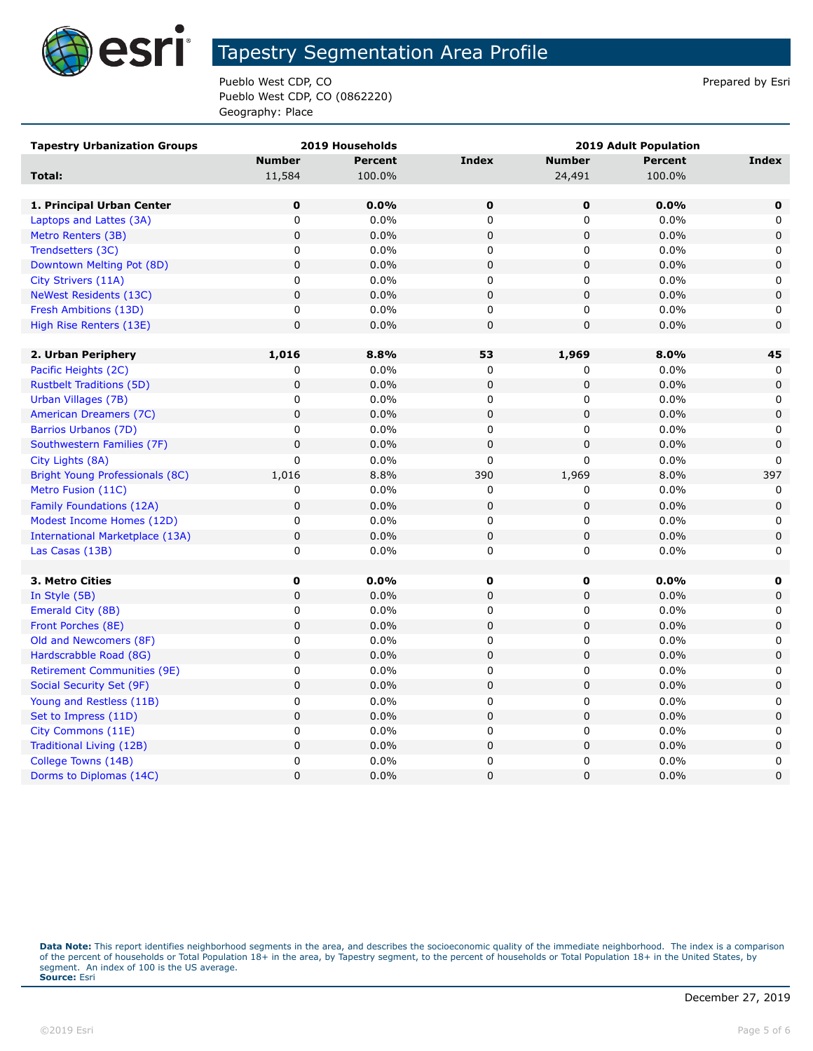

Pueblo West CDP, CO **Prepared by Estimate Prepared by Estimate Prepared by Estimate Prepared by Estimate Prepared by Estimate Prepared by Estimate Prepared by Estimate Prepared by Estimate Prepared by Estimate Prepared by** Pueblo West CDP, CO (0862220) Geography: Place

| <b>Tapestry Urbanization Groups</b>    |               | 2019 Households |                |               | <b>2019 Adult Population</b> |             |
|----------------------------------------|---------------|-----------------|----------------|---------------|------------------------------|-------------|
|                                        | <b>Number</b> | <b>Percent</b>  | <b>Index</b>   | <b>Number</b> | <b>Percent</b>               | Index       |
| Total:                                 | 11,584        | 100.0%          |                | 24,491        | 100.0%                       |             |
|                                        |               |                 |                |               |                              |             |
| 1. Principal Urban Center              | $\mathbf 0$   | 0.0%            | $\mathbf 0$    | $\mathbf 0$   | 0.0%                         | $\mathbf 0$ |
| Laptops and Lattes (3A)                | 0             | 0.0%            | 0              | 0             | 0.0%                         | 0           |
| Metro Renters (3B)                     | $\mathsf 0$   | 0.0%            | 0              | 0             | 0.0%                         | 0           |
| Trendsetters (3C)                      | 0             | 0.0%            | 0              | 0             | 0.0%                         | 0           |
| Downtown Melting Pot (8D)              | 0             | 0.0%            | 0              | 0             | 0.0%                         | $\mathbf 0$ |
| City Strivers (11A)                    | $\pmb{0}$     | 0.0%            | 0              | 0             | 0.0%                         | 0           |
| NeWest Residents (13C)                 | $\pmb{0}$     | 0.0%            | 0              | 0             | 0.0%                         | 0           |
| Fresh Ambitions (13D)                  | 0             | $0.0\%$         | 0              | 0             | 0.0%                         | 0           |
| High Rise Renters (13E)                | $\mathsf 0$   | 0.0%            | 0              | 0             | 0.0%                         | $\mathbf 0$ |
|                                        |               |                 |                |               |                              |             |
| 2. Urban Periphery                     | 1,016         | 8.8%            | 53             | 1,969         | 8.0%                         | 45          |
| Pacific Heights (2C)                   | 0             | 0.0%            | 0              | 0             | 0.0%                         | 0           |
| <b>Rustbelt Traditions (5D)</b>        | $\pmb{0}$     | 0.0%            | 0              | 0             | 0.0%                         | $\mathbf 0$ |
| Urban Villages (7B)                    | 0             | 0.0%            | 0              | 0             | 0.0%                         | 0           |
| American Dreamers (7C)                 | $\mathbf 0$   | 0.0%            | $\overline{0}$ | 0             | 0.0%                         | $\mathbf 0$ |
| Barrios Urbanos (7D)                   | 0             | $0.0\%$         | 0              | 0             | 0.0%                         | 0           |
| Southwestern Families (7F)             | 0             | 0.0%            | 0              | $\mathbf 0$   | 0.0%                         | $\mathbf 0$ |
| City Lights (8A)                       | 0             | $0.0\%$         | 0              | 0             | 0.0%                         | 0           |
| Bright Young Professionals (8C)        | 1,016         | 8.8%            | 390            | 1,969         | 8.0%                         | 397         |
| Metro Fusion (11C)                     | 0             | 0.0%            | 0              | 0             | 0.0%                         | 0           |
| Family Foundations (12A)               | 0             | 0.0%            | 0              | 0             | 0.0%                         | $\mathbf 0$ |
| Modest Income Homes (12D)              | 0             | 0.0%            | 0              | 0             | 0.0%                         | 0           |
| <b>International Marketplace (13A)</b> | $\mathbf 0$   | 0.0%            | $\mathsf 0$    | $\mathsf 0$   | 0.0%                         | $\pmb{0}$   |
| Las Casas (13B)                        | 0             | 0.0%            | 0              | 0             | 0.0%                         | 0           |
|                                        |               |                 |                |               |                              |             |
| 3. Metro Cities                        | $\pmb{0}$     | 0.0%            | $\mathbf 0$    | 0             | 0.0%                         | 0           |
| In Style (5B)                          | $\mathbf 0$   | 0.0%            | 0              | 0             | 0.0%                         | $\mathbf 0$ |
| Emerald City (8B)                      | 0             | 0.0%            | 0              | 0             | 0.0%                         | 0           |
| Front Porches (8E)                     | $\pmb{0}$     | 0.0%            | 0              | $\mathbf 0$   | 0.0%                         | $\mathbf 0$ |
| Old and Newcomers (8F)                 | 0             | 0.0%            | 0              | 0             | 0.0%                         | $\mathbf 0$ |
| Hardscrabble Road (8G)                 | $\pmb{0}$     | 0.0%            | $\mathsf 0$    | 0             | 0.0%                         | $\mathsf 0$ |
| <b>Retirement Communities (9E)</b>     | 0             | $0.0\%$         | 0              | 0             | 0.0%                         | 0           |
| Social Security Set (9F)               | $\pmb{0}$     | 0.0%            | $\mathsf 0$    | 0             | 0.0%                         | 0           |
| Young and Restless (11B)               | 0             | 0.0%            | 0              | 0             | 0.0%                         | 0           |
| Set to Impress (11D)                   | 0             | 0.0%            | 0              | 0             | 0.0%                         | $\mathbf 0$ |
| City Commons (11E)                     | 0             | $0.0\%$         | 0              | 0             | 0.0%                         | 0           |
| Traditional Living (12B)               | $\pmb{0}$     | 0.0%            | 0              | 0             | 0.0%                         | $\pmb{0}$   |
| College Towns (14B)                    | 0             | 0.0%            | 0              | 0             | 0.0%                         | 0           |
| Dorms to Diplomas (14C)                | 0             | 0.0%            | 0              | 0             | 0.0%                         | 0           |